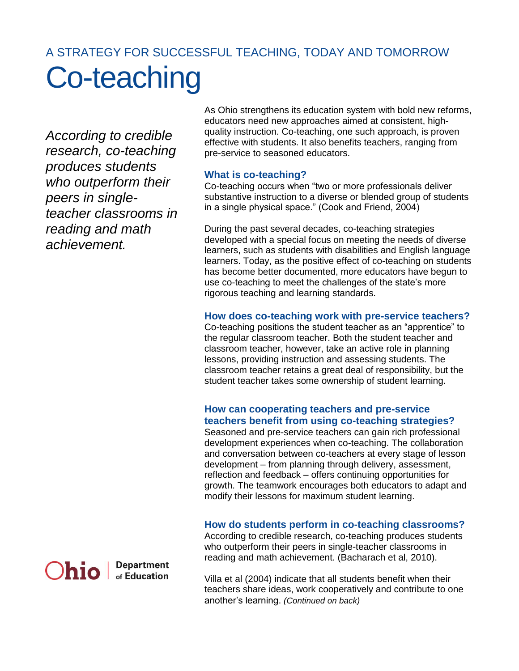# A STRATEGY FOR SUCCESSFUL TEACHING, TODAY AND TOMORROW Co-teaching

*According to credible research, co-teaching produces students who outperform their peers in singleteacher classrooms in reading and math achievement.* 

As Ohio strengthens its education system with bold new reforms, educators need new approaches aimed at consistent, highquality instruction. Co-teaching, one such approach, is proven effective with students. It also benefits teachers, ranging from pre-service to seasoned educators.

## **What is co-teaching?**

Co-teaching occurs when "two or more professionals deliver substantive instruction to a diverse or blended group of students in a single physical space." (Cook and Friend, 2004)

During the past several decades, co-teaching strategies developed with a special focus on meeting the needs of diverse learners, such as students with disabilities and English language learners. Today, as the positive effect of co-teaching on students has become better documented, more educators have begun to use co-teaching to meet the challenges of the state's more rigorous teaching and learning standards.

## **How does co-teaching work with pre-service teachers?**

Co-teaching positions the student teacher as an "apprentice" to the regular classroom teacher. Both the student teacher and classroom teacher, however, take an active role in planning lessons, providing instruction and assessing students. The classroom teacher retains a great deal of responsibility, but the student teacher takes some ownership of student learning.

# **How can cooperating teachers and pre-service teachers benefit from using co-teaching strategies?**

Seasoned and pre-service teachers can gain rich professional development experiences when co-teaching. The collaboration and conversation between co-teachers at every stage of lesson development – from planning through delivery, assessment, reflection and feedback – offers continuing opportunities for growth. The teamwork encourages both educators to adapt and modify their lessons for maximum student learning.

# **How do students perform in co-teaching classrooms?**

According to credible research, co-teaching produces students who outperform their peers in single-teacher classrooms in reading and math achievement. (Bacharach et al, 2010).

Villa et al (2004) indicate that all students benefit when their teachers share ideas, work cooperatively and contribute to one another's learning. *(Continued on back)*